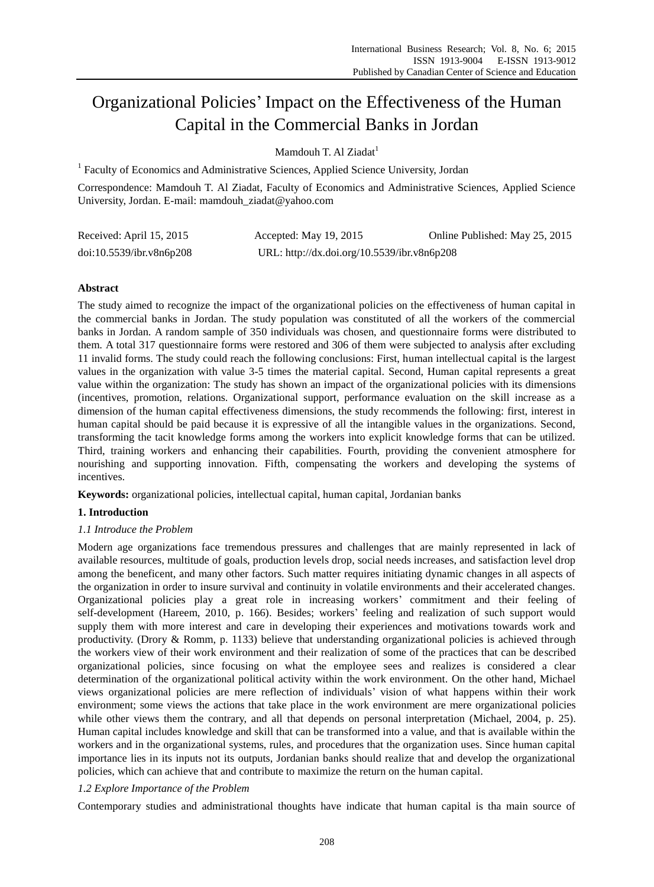# Organizational Policies" Impact on the Effectiveness of the Human Capital in the Commercial Banks in Jordan

Mamdouh T. Al Ziadat<sup>1</sup>

<sup>1</sup> Faculty of Economics and Administrative Sciences, Applied Science University, Jordan

Correspondence: Mamdouh T. Al Ziadat, Faculty of Economics and Administrative Sciences, Applied Science University, Jordan. E-mail: mamdouh\_ziadat@yahoo.com

| Received: April 15, 2015 | Accepted: May 19, 2015                      | Online Published: May 25, 2015 |
|--------------------------|---------------------------------------------|--------------------------------|
| doi:10.5539/ibr.v8n6p208 | URL: http://dx.doi.org/10.5539/ibr.v8n6p208 |                                |

# **Abstract**

The study aimed to recognize the impact of the organizational policies on the effectiveness of human capital in the commercial banks in Jordan. The study population was constituted of all the workers of the commercial banks in Jordan. A random sample of 350 individuals was chosen, and questionnaire forms were distributed to them. A total 317 questionnaire forms were restored and 306 of them were subjected to analysis after excluding 11 invalid forms. The study could reach the following conclusions: First, human intellectual capital is the largest values in the organization with value 3-5 times the material capital. Second, Human capital represents a great value within the organization: The study has shown an impact of the organizational policies with its dimensions (incentives, promotion, relations. Organizational support, performance evaluation on the skill increase as a dimension of the human capital effectiveness dimensions, the study recommends the following: first, interest in human capital should be paid because it is expressive of all the intangible values in the organizations. Second, transforming the tacit knowledge forms among the workers into explicit knowledge forms that can be utilized. Third, training workers and enhancing their capabilities. Fourth, providing the convenient atmosphere for nourishing and supporting innovation. Fifth, compensating the workers and developing the systems of incentives.

**Keywords:** organizational policies, intellectual capital, human capital, Jordanian banks

# **1. Introduction**

# *1.1 Introduce the Problem*

Modern age organizations face tremendous pressures and challenges that are mainly represented in lack of available resources, multitude of goals, production levels drop, social needs increases, and satisfaction level drop among the beneficent, and many other factors. Such matter requires initiating dynamic changes in all aspects of the organization in order to insure survival and continuity in volatile environments and their accelerated changes. Organizational policies play a great role in increasing workers" commitment and their feeling of self-development (Hareem, 2010, p. 166). Besides; workers" feeling and realization of such support would supply them with more interest and care in developing their experiences and motivations towards work and productivity. (Drory & Romm, p. 1133) believe that understanding organizational policies is achieved through the workers view of their work environment and their realization of some of the practices that can be described organizational policies, since focusing on what the employee sees and realizes is considered a clear determination of the organizational political activity within the work environment. On the other hand, Michael views organizational policies are mere reflection of individuals" vision of what happens within their work environment; some views the actions that take place in the work environment are mere organizational policies while other views them the contrary, and all that depends on personal interpretation (Michael, 2004, p. 25). Human capital includes knowledge and skill that can be transformed into a value, and that is available within the workers and in the organizational systems, rules, and procedures that the organization uses. Since human capital importance lies in its inputs not its outputs, Jordanian banks should realize that and develop the organizational policies, which can achieve that and contribute to maximize the return on the human capital.

# *1.2 Explore Importance of the Problem*

Contemporary studies and administrational thoughts have indicate that human capital is tha main source of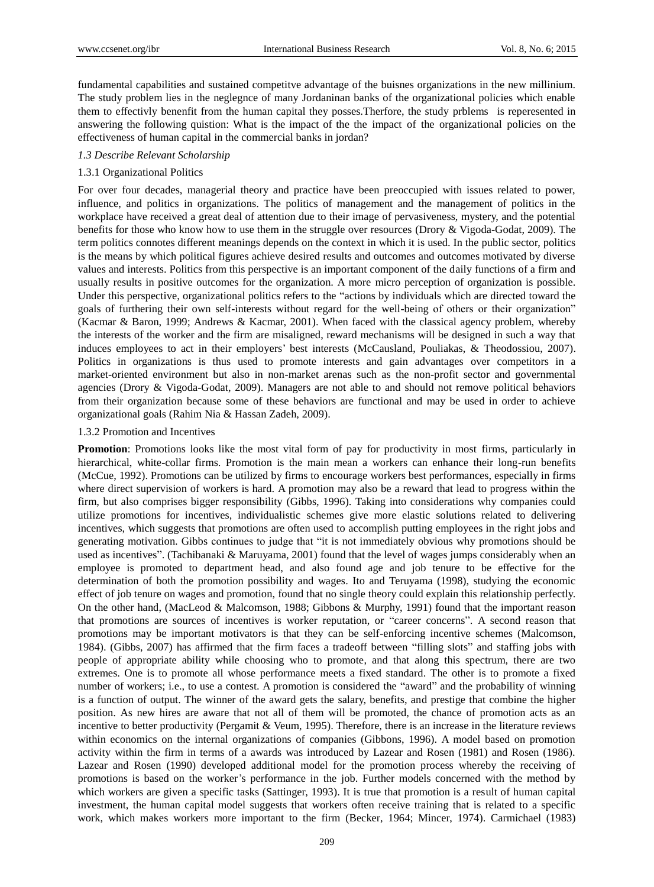fundamental capabilities and sustained competitve advantage of the buisnes organizations in the new millinium. The study problem lies in the neglegnce of many Jordaninan banks of the organizational policies which enable them to effectivly benenfit from the human capital they posses.Therfore, the study prblems is reperesented in answering the following quistion: What is the impact of the the impact of the organizational policies on the effectiveness of human capital in the commercial banks in jordan?

### *1.3 Describe Relevant Scholarship*

### 1.3.1 Organizational Politics

For over four decades, managerial theory and practice have been preoccupied with issues related to power, influence, and politics in organizations. The politics of management and the management of politics in the workplace have received a great deal of attention due to their image of pervasiveness, mystery, and the potential benefits for those who know how to use them in the struggle over resources (Drory & Vigoda-Godat, 2009). The term politics connotes different meanings depends on the context in which it is used. In the public sector, politics is the means by which political figures achieve desired results and outcomes and outcomes motivated by diverse values and interests. Politics from this perspective is an important component of the daily functions of a firm and usually results in positive outcomes for the organization. A more micro perception of organization is possible. Under this perspective, organizational politics refers to the "actions by individuals which are directed toward the goals of furthering their own self-interests without regard for the well-being of others or their organization" (Kacmar & Baron, 1999; Andrews & Kacmar, 2001). When faced with the classical agency problem, whereby the interests of the worker and the firm are misaligned, reward mechanisms will be designed in such a way that induces employees to act in their employers" best interests (McCausland, Pouliakas, & Theodossiou, 2007). Politics in organizations is thus used to promote interests and gain advantages over competitors in a market-oriented environment but also in non-market arenas such as the non-profit sector and governmental agencies (Drory & Vigoda-Godat, 2009). Managers are not able to and should not remove political behaviors from their organization because some of these behaviors are functional and may be used in order to achieve organizational goals (Rahim Nia & Hassan Zadeh, 2009).

### 1.3.2 Promotion and Incentives

**Promotion**: Promotions looks like the most vital form of pay for productivity in most firms, particularly in hierarchical, white-collar firms. Promotion is the main mean a workers can enhance their long-run benefits (McCue, 1992). Promotions can be utilized by firms to encourage workers best performances, especially in firms where direct supervision of workers is hard. A promotion may also be a reward that lead to progress within the firm, but also comprises bigger responsibility (Gibbs, 1996). Taking into considerations why companies could utilize promotions for incentives, individualistic schemes give more elastic solutions related to delivering incentives, which suggests that promotions are often used to accomplish putting employees in the right jobs and generating motivation. Gibbs continues to judge that "it is not immediately obvious why promotions should be used as incentives". (Tachibanaki & Maruyama, 2001) found that the level of wages jumps considerably when an employee is promoted to department head, and also found age and job tenure to be effective for the determination of both the promotion possibility and wages. Ito and Teruyama (1998), studying the economic effect of job tenure on wages and promotion, found that no single theory could explain this relationship perfectly. On the other hand, (MacLeod & Malcomson, 1988; Gibbons & Murphy, 1991) found that the important reason that promotions are sources of incentives is worker reputation, or "career concerns". A second reason that promotions may be important motivators is that they can be self-enforcing incentive schemes (Malcomson, 1984). (Gibbs, 2007) has affirmed that the firm faces a tradeoff between "filling slots" and staffing jobs with people of appropriate ability while choosing who to promote, and that along this spectrum, there are two extremes. One is to promote all whose performance meets a fixed standard. The other is to promote a fixed number of workers; i.e., to use a contest. A promotion is considered the "award" and the probability of winning is a function of output. The winner of the award gets the salary, benefits, and prestige that combine the higher position. As new hires are aware that not all of them will be promoted, the chance of promotion acts as an incentive to better productivity (Pergamit & Veum, 1995). Therefore, there is an increase in the literature reviews within economics on the internal organizations of companies (Gibbons, 1996). A model based on promotion activity within the firm in terms of a awards was introduced by Lazear and Rosen (1981) and Rosen (1986). Lazear and Rosen (1990) developed additional model for the promotion process whereby the receiving of promotions is based on the worker"s performance in the job. Further models concerned with the method by which workers are given a specific tasks (Sattinger, 1993). It is true that promotion is a result of human capital investment, the human capital model suggests that workers often receive training that is related to a specific work, which makes workers more important to the firm (Becker, 1964; Mincer, 1974). Carmichael (1983)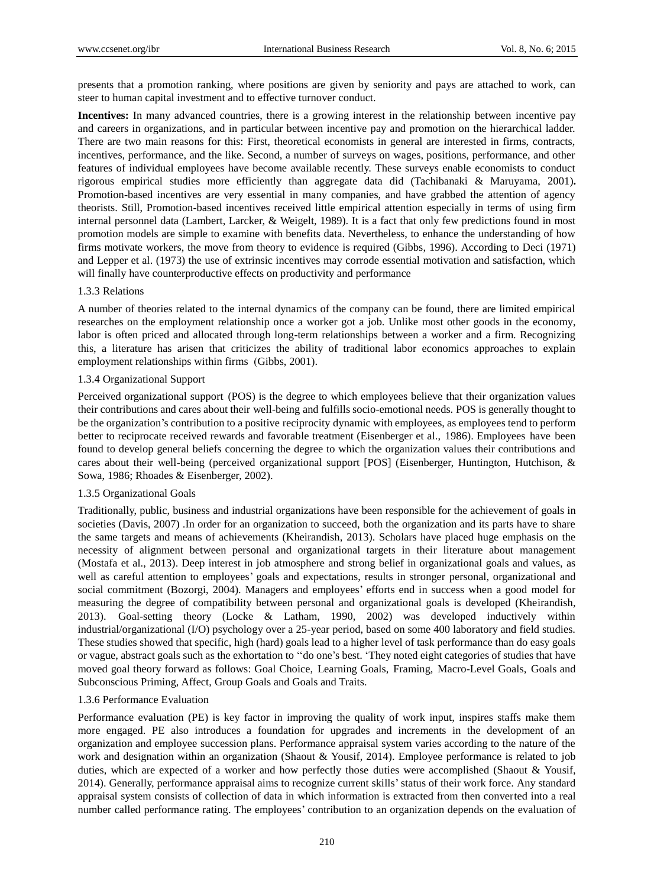presents that a promotion ranking, where positions are given by seniority and pays are attached to work, can steer to human capital investment and to effective turnover conduct.

**Incentives:** In many advanced countries, there is a growing interest in the relationship between incentive pay and careers in organizations, and in particular between incentive pay and promotion on the hierarchical ladder. There are two main reasons for this: First, theoretical economists in general are interested in firms, contracts, incentives, performance, and the like. Second, a number of surveys on wages, positions, performance, and other features of individual employees have become available recently. These surveys enable economists to conduct rigorous empirical studies more efficiently than aggregate data did (Tachibanaki & Maruyama, 2001)**.**  Promotion-based incentives are very essential in many companies, and have grabbed the attention of agency theorists. Still, Promotion-based incentives received little empirical attention especially in terms of using firm internal personnel data (Lambert, Larcker, & Weigelt, 1989). It is a fact that only few predictions found in most promotion models are simple to examine with benefits data. Nevertheless, to enhance the understanding of how firms motivate workers, the move from theory to evidence is required (Gibbs, 1996). According to Deci (1971) and Lepper et al. (1973) the use of extrinsic incentives may corrode essential motivation and satisfaction, which will finally have counterproductive effects on productivity and performance

### 1.3.3 Relations

A number of theories related to the internal dynamics of the company can be found, there are limited empirical researches on the employment relationship once a worker got a job. Unlike most other goods in the economy, labor is often priced and allocated through long-term relationships between a worker and a firm. Recognizing this, a literature has arisen that criticizes the ability of traditional labor economics approaches to explain employment relationships within firms (Gibbs, 2001).

### 1.3.4 Organizational Support

Perceived organizational support (POS) is the degree to which employees believe that their organization values their contributions and cares about their well-being and fulfills socio-emotional needs. POS is generally thought to be the organization"s contribution to a positive reciprocity dynamic with employees, as employees tend to perform better to reciprocate received rewards and favorable treatment (Eisenberger et al., 1986). Employees have been found to develop general beliefs concerning the degree to which the organization values their contributions and cares about their well-being (perceived organizational support [POS] (Eisenberger, Huntington, Hutchison, & Sowa, 1986; Rhoades & Eisenberger, 2002).

### 1.3.5 Organizational Goals

Traditionally, public, business and industrial organizations have been responsible for the achievement of goals in societies (Davis, 2007). In order for an organization to succeed, both the organization and its parts have to share the same targets and means of achievements (Kheirandish, 2013). Scholars have placed huge emphasis on the necessity of alignment between personal and organizational targets in their literature about management (Mostafa et al., 2013). Deep interest in job atmosphere and strong belief in organizational goals and values, as well as careful attention to employees' goals and expectations, results in stronger personal, organizational and social commitment (Bozorgi, 2004). Managers and employees" efforts end in success when a good model for measuring the degree of compatibility between personal and organizational goals is developed (Kheirandish, 2013). Goal-setting theory (Locke & Latham, 1990, 2002) was developed inductively within industrial/organizational (I/O) psychology over a 25-year period, based on some 400 laboratory and field studies. These studies showed that specific, high (hard) goals lead to a higher level of task performance than do easy goals or vague, abstract goals such as the exhortation to ""do one"s best. "They noted eight categories of studies that have moved goal theory forward as follows: Goal Choice, Learning Goals, Framing, Macro-Level Goals, Goals and Subconscious Priming, Affect, Group Goals and Goals and Traits.

### 1.3.6 Performance Evaluation

Performance evaluation (PE) is key factor in improving the quality of work input, inspires staffs make them more engaged. PE also introduces a foundation for upgrades and increments in the development of an organization and employee succession plans. Performance appraisal system varies according to the nature of the work and designation within an organization (Shaout & Yousif, 2014). Employee performance is related to job duties, which are expected of a worker and how perfectly those duties were accomplished (Shaout & Yousif, 2014). Generally, performance appraisal aims to recognize current skills"status of their work force. Any standard appraisal system consists of collection of data in which information is extracted from then converted into a real number called performance rating. The employees" contribution to an organization depends on the evaluation of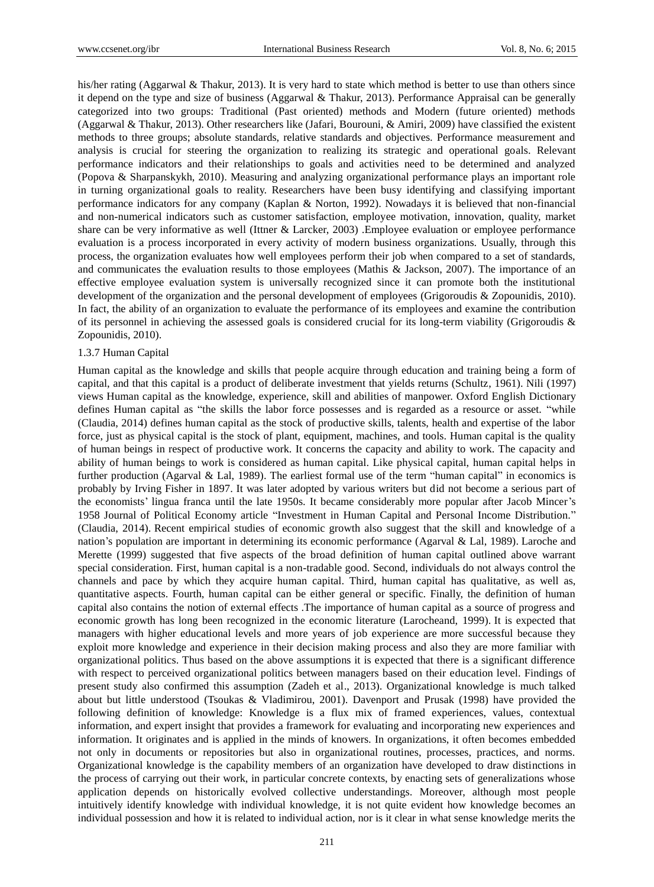his/her rating (Aggarwal & Thakur, 2013). It is very hard to state which method is better to use than others since it depend on the type and size of business (Aggarwal & Thakur, 2013). Performance Appraisal can be generally categorized into two groups: Traditional (Past oriented) methods and Modern (future oriented) methods (Aggarwal & Thakur, 2013). Other researchers like (Jafari, Bourouni, & Amiri, 2009) have classified the existent methods to three groups; absolute standards, relative standards and objectives. Performance measurement and analysis is crucial for steering the organization to realizing its strategic and operational goals. Relevant performance indicators and their relationships to goals and activities need to be determined and analyzed (Popova & Sharpanskykh, 2010). Measuring and analyzing organizational performance plays an important role in turning organizational goals to reality. Researchers have been busy identifying and classifying important performance indicators for any company (Kaplan & Norton, 1992). Nowadays it is believed that non-financial and non-numerical indicators such as customer satisfaction, employee motivation, innovation, quality, market share can be very informative as well (Ittner & Larcker, 2003) .Employee evaluation or employee performance evaluation is a process incorporated in every activity of modern business organizations. Usually, through this process, the organization evaluates how well employees perform their job when compared to a set of standards, and communicates the evaluation results to those employees (Mathis & Jackson, 2007). The importance of an effective employee evaluation system is universally recognized since it can promote both the institutional development of the organization and the personal development of employees (Grigoroudis & Zopounidis, 2010). In fact, the ability of an organization to evaluate the performance of its employees and examine the contribution of its personnel in achieving the assessed goals is considered crucial for its long-term viability (Grigoroudis & Zopounidis, 2010).

# 1.3.7 Human Capital

Human capital as the knowledge and skills that people acquire through education and training being a form of capital, and that this capital is a product of deliberate investment that yields returns (Schultz, 1961). Nili (1997) views Human capital as the knowledge, experience, skill and abilities of manpower. Oxford English Dictionary defines Human capital as "the skills the labor force possesses and is regarded as a resource or asset. "while (Claudia, 2014) defines human capital as the stock of productive skills, talents, health and expertise of the labor force, just as physical capital is the stock of plant, equipment, machines, and tools. Human capital is the quality of human beings in respect of productive work. It concerns the capacity and ability to work. The capacity and ability of human beings to work is considered as human capital. Like physical capital, human capital helps in further production (Agarval & Lal, 1989). The earliest formal use of the term "human capital" in economics is probably by Irving Fisher in 1897. It was later adopted by various writers but did not become a serious part of the economists" lingua franca until the late 1950s. It became considerably more popular after Jacob Mincer"s 1958 Journal of Political Economy article "Investment in Human Capital and Personal Income Distribution." (Claudia, 2014). Recent empirical studies of economic growth also suggest that the skill and knowledge of a nation"s population are important in determining its economic performance (Agarval & Lal, 1989). Laroche and Merette (1999) suggested that five aspects of the broad definition of human capital outlined above warrant special consideration. First, human capital is a non-tradable good. Second, individuals do not always control the channels and pace by which they acquire human capital. Third, human capital has qualitative, as well as, quantitative aspects. Fourth, human capital can be either general or specific. Finally, the definition of human capital also contains the notion of external effects .The importance of human capital as a source of progress and economic growth has long been recognized in the economic literature (Larocheand, 1999). It is expected that managers with higher educational levels and more years of job experience are more successful because they exploit more knowledge and experience in their decision making process and also they are more familiar with organizational politics. Thus based on the above assumptions it is expected that there is a significant difference with respect to perceived organizational politics between managers based on their education level. Findings of present study also confirmed this assumption (Zadeh et al., 2013). Organizational knowledge is much talked about but little understood (Tsoukas & Vladimirou, 2001). Davenport and Prusak (1998) have provided the following definition of knowledge: Knowledge is a flux mix of framed experiences, values, contextual information, and expert insight that provides a framework for evaluating and incorporating new experiences and information. It originates and is applied in the minds of knowers. In organizations, it often becomes embedded not only in documents or repositories but also in organizational routines, processes, practices, and norms. Organizational knowledge is the capability members of an organization have developed to draw distinctions in the process of carrying out their work, in particular concrete contexts, by enacting sets of generalizations whose application depends on historically evolved collective understandings. Moreover, although most people intuitively identify knowledge with individual knowledge, it is not quite evident how knowledge becomes an individual possession and how it is related to individual action, nor is it clear in what sense knowledge merits the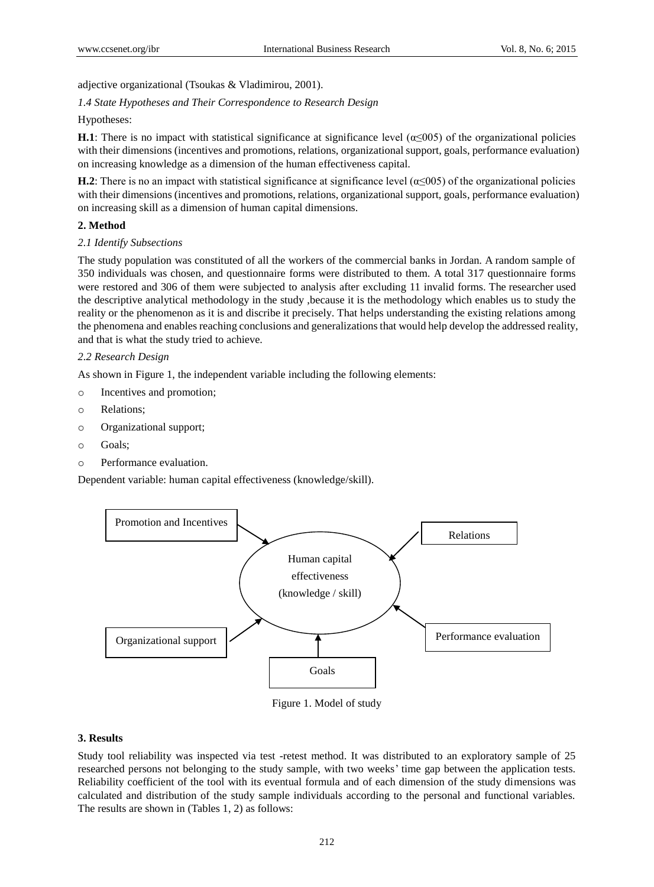adjective organizational (Tsoukas & Vladimirou, 2001).

# *1.4 State Hypotheses and Their Correspondence to Research Design*

# Hypotheses:

**H.1**: There is no impact with statistical significance at significance level ( $\alpha \le 005$ ) of the organizational policies with their dimensions (incentives and promotions, relations, organizational support, goals, performance evaluation) on increasing knowledge as a dimension of the human effectiveness capital.

**H.2**: There is no an impact with statistical significance at significance level ( $\alpha \le 005$ ) of the organizational policies with their dimensions (incentives and promotions, relations, organizational support, goals, performance evaluation) on increasing skill as a dimension of human capital dimensions.

# **2. Method**

# *2.1 Identify Subsections*

The study population was constituted of all the workers of the commercial banks in Jordan. A random sample of 350 individuals was chosen, and questionnaire forms were distributed to them. A total 317 questionnaire forms were restored and 306 of them were subjected to analysis after excluding 11 invalid forms. The researcher used the descriptive analytical methodology in the study ,because it is the methodology which enables us to study the reality or the phenomenon as it is and discribe it precisely. That helps understanding the existing relations among the phenomena and enables reaching conclusions and generalizations that would help develop the addressed reality, and that is what the study tried to achieve.

# *2.2 Research Design*

As shown in Figure 1, the independent variable including the following elements:

- o Incentives and promotion;
- o Relations;
- o Organizational support;
- o Goals;
- o Performance evaluation.

Dependent variable: human capital effectiveness (knowledge/skill).



Figure 1. Model of study

# **3. Results**

Study tool reliability was inspected via test -retest method. It was distributed to an exploratory sample of 25 researched persons not belonging to the study sample, with two weeks" time gap between the application tests. Reliability coefficient of the tool with its eventual formula and of each dimension of the study dimensions was calculated and distribution of the study sample individuals according to the personal and functional variables. The results are shown in (Tables 1, 2) as follows: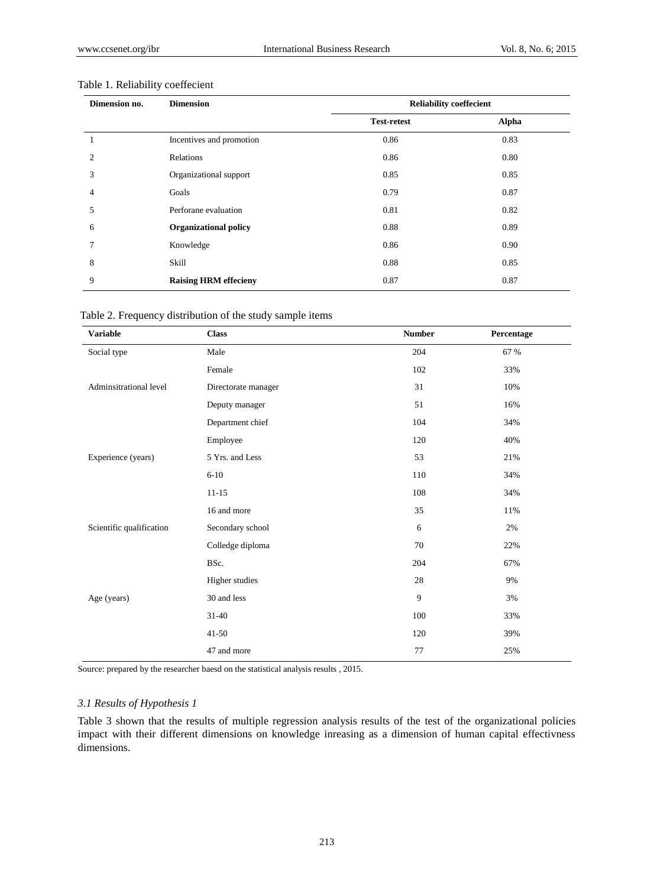| Dimension no.  | <b>Dimension</b>             | <b>Reliability coeffecient</b> |              |  |
|----------------|------------------------------|--------------------------------|--------------|--|
|                |                              | <b>Test-retest</b>             | <b>Alpha</b> |  |
|                | Incentives and promotion     | 0.86                           | 0.83         |  |
| $\overline{2}$ | Relations                    | 0.86                           | 0.80         |  |
| 3              | Organizational support       | 0.85                           | 0.85         |  |
| 4              | Goals                        | 0.79                           | 0.87         |  |
| 5              | Perforane evaluation         | 0.81                           | 0.82         |  |
| 6              | <b>Organizational policy</b> | 0.88                           | 0.89         |  |
| 7              | Knowledge                    | 0.86                           | 0.90         |  |
| 8              | Skill                        | 0.88                           | 0.85         |  |
| 9              | <b>Raising HRM effecieny</b> | 0.87                           | 0.87         |  |

# Table 1. Reliability coeffecient

Table 2. Frequency distribution of the study sample items

| <b>Variable</b>          | <b>Class</b>        | <b>Number</b> | Percentage |
|--------------------------|---------------------|---------------|------------|
| Social type              | Male                | 204           | 67 %       |
|                          | Female              | 102           | 33%        |
| Adminsitrational level   | Directorate manager | 31            | $10\%$     |
|                          | Deputy manager      | 51            | 16%        |
|                          | Department chief    | 104           | 34%        |
|                          | Employee            | 120           | 40%        |
| Experience (years)       | 5 Yrs. and Less     | 53            | 21%        |
|                          | $6 - 10$            | 110           | 34%        |
|                          | $11 - 15$           | 108           | 34%        |
|                          | 16 and more         | 35            | 11%        |
| Scientific qualification | Secondary school    | 6             | 2%         |
|                          | Colledge diploma    | 70            | 22%        |
|                          | BSc.                | 204           | 67%        |
|                          | Higher studies      | 28            | 9%         |
| Age (years)              | 30 and less         | 9             | 3%         |
|                          | $31 - 40$           | 100           | 33%        |
|                          | $41 - 50$           | 120           | 39%        |
|                          | 47 and more         | 77            | 25%        |

Source: prepared by the researcher baesd on the statistical analysis results , 2015.

# *3.1 Results of Hypothesis 1*

Table 3 shown that the results of multiple regression analysis results of the test of the organizational policies impact with their different dimensions on knowledge inreasing as a dimension of human capital effectivness dimensions.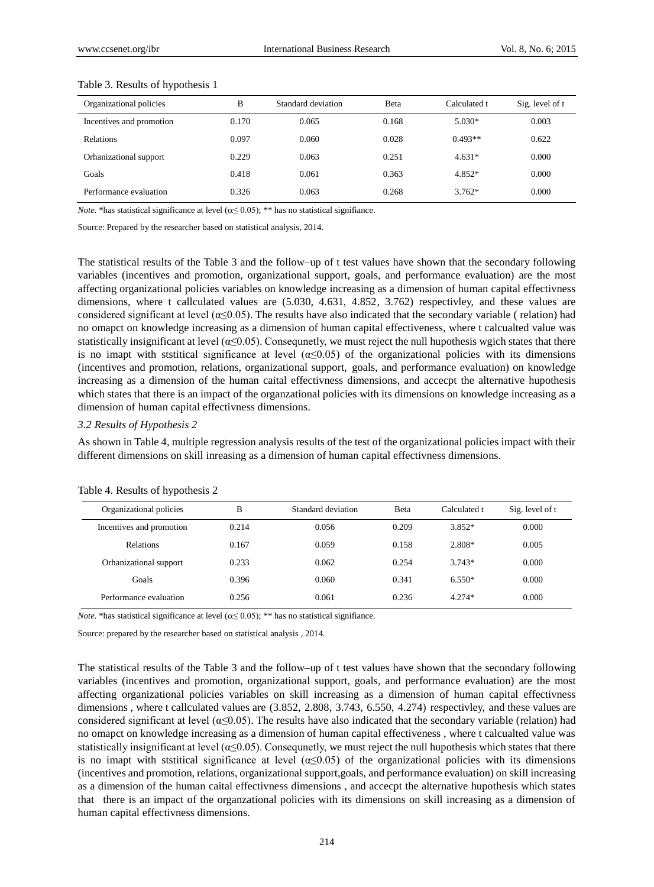| Organizational policies  | B     | Standard deviation | Beta  | Calculated t | Sig. level of t |
|--------------------------|-------|--------------------|-------|--------------|-----------------|
| Incentives and promotion | 0.170 | 0.065              | 0.168 | $5.030*$     | 0.003           |
| <b>Relations</b>         | 0.097 | 0.060              | 0.028 | $0.493**$    | 0.622           |
| Orhanizational support   | 0.229 | 0.063              | 0.251 | $4.631*$     | 0.000           |
| Goals                    | 0.418 | 0.061              | 0.363 | 4.852*       | 0.000           |
| Performance evaluation   | 0.326 | 0.063              | 0.268 | $3.762*$     | 0.000           |

### Table 3. Results of hypothesis 1

*Note.* \*has statistical significance at level ( $\alpha \le 0.05$ ); \*\* has no statistical signifiance.

Source: Prepared by the researcher based on statistical analysis, 2014.

The statistical results of the Table 3 and the follow–up of t test values have shown that the secondary following variables (incentives and promotion, organizational support, goals, and performance evaluation) are the most affecting organizational policies variables on knowledge increasing as a dimension of human capital effectivness dimensions, where t callculated values are (5.030, 4.631, 4.852, 3.762) respectivley, and these values are considered significant at level ( $\alpha \le 0.05$ ). The results have also indicated that the secondary variable ( relation) had no omapct on knowledge increasing as a dimension of human capital effectiveness, where t calcualted value was statistically insignificant at level ( $\alpha \leq 0.05$ ). Consequnetly, we must reject the null hupothesis wgich states that there is no imapt with ststitical significance at level  $(\alpha \leq 0.05)$  of the organizational policies with its dimensions (incentives and promotion, relations, organizational support, goals, and performance evaluation) on knowledge increasing as a dimension of the human caital effectivness dimensions, and accecpt the alternative hupothesis which states that there is an impact of the organzational policies with its dimensions on knowledge increasing as a dimension of human capital effectivness dimensions.

### *3.2 Results of Hypothesis 2*

As shown in Table 4, multiple regression analysis results of the test of the organizational policies impact with their different dimensions on skill inreasing as a dimension of human capital effectivness dimensions.

| Organizational policies  | B     | Standard deviation | Beta  | Calculated t | Sig. level of t |  |
|--------------------------|-------|--------------------|-------|--------------|-----------------|--|
| Incentives and promotion | 0.214 | 0.056              | 0.209 | 3.852*       | 0.000           |  |
| <b>Relations</b>         | 0.167 | 0.059              | 0.158 | 2.808*       | 0.005           |  |
| Orhanizational support   | 0.233 | 0.062              | 0.254 | $3.743*$     | 0.000           |  |
| Goals                    | 0.396 | 0.060              | 0.341 | $6.550*$     | 0.000           |  |
| Performance evaluation   | 0.256 | 0.061              | 0.236 | $4.274*$     | 0.000           |  |
|                          |       |                    |       |              |                 |  |

### Table 4. Results of hypothesis 2

*Note.* \*has statistical significance at level ( $\alpha \le 0.05$ ); \*\* has no statistical signifiance.

Source: prepared by the researcher based on statistical analysis , 2014.

The statistical results of the Table 3 and the follow–up of t test values have shown that the secondary following variables (incentives and promotion, organizational support, goals, and performance evaluation) are the most affecting organizational policies variables on skill increasing as a dimension of human capital effectivness dimensions , where t callculated values are (3.852, 2.808, 3.743, 6.550, 4.274) respectivley, and these values are considered significant at level ( $\alpha \leq 0.05$ ). The results have also indicated that the secondary variable (relation) had no omapct on knowledge increasing as a dimension of human capital effectiveness , where t calcualted value was statistically insignificant at level ( $\alpha \leq 0.05$ ). Consequnetly, we must reject the null hupothesis which states that there is no imapt with ststitical significance at level  $(\alpha \le 0.05)$  of the organizational policies with its dimensions (incentives and promotion, relations, organizational support,goals, and performance evaluation) on skill increasing as a dimension of the human caital effectivness dimensions , and accecpt the alternative hupothesis which states that there is an impact of the organzational policies with its dimensions on skill increasing as a dimension of human capital effectivness dimensions.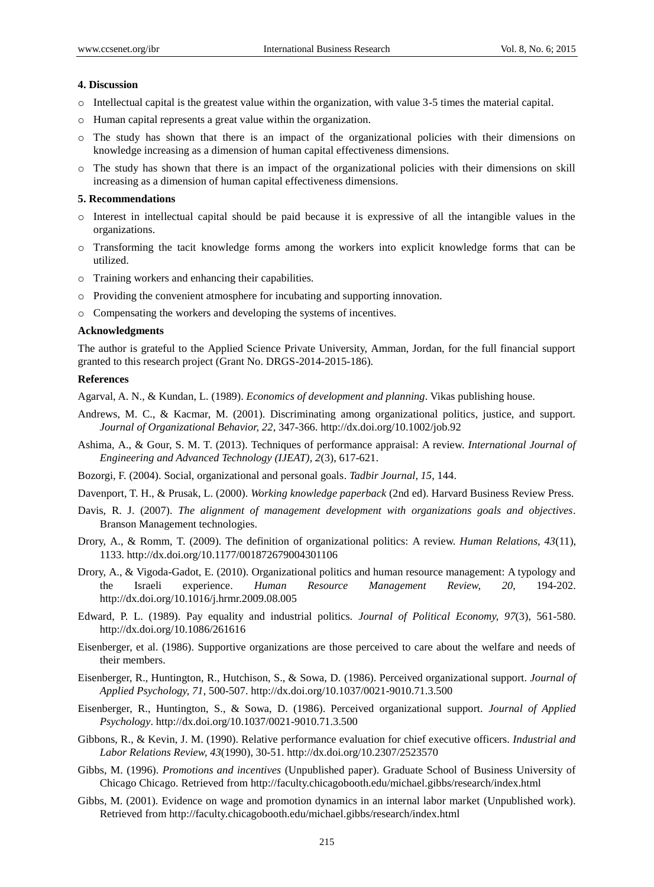### **4. Discussion**

- o Intellectual capital is the greatest value within the organization, with value 3-5 times the material capital.
- o Human capital represents a great value within the organization.
- o The study has shown that there is an impact of the organizational policies with their dimensions on knowledge increasing as a dimension of human capital effectiveness dimensions.
- o The study has shown that there is an impact of the organizational policies with their dimensions on skill increasing as a dimension of human capital effectiveness dimensions.

# **5. Recommendations**

- o Interest in intellectual capital should be paid because it is expressive of all the intangible values in the organizations.
- o Transforming the tacit knowledge forms among the workers into explicit knowledge forms that can be utilized.
- o Training workers and enhancing their capabilities.
- o Providing the convenient atmosphere for incubating and supporting innovation.
- o Compensating the workers and developing the systems of incentives.

### **Acknowledgments**

The author is grateful to the Applied Science Private University, Amman, Jordan, for the full financial support granted to this research project (Grant No. DRGS-2014-2015-186).

### **References**

Agarval, A. N., & Kundan, L. (1989). *Economics of development and planning*. Vikas publishing house.

- Andrews, M. C., & Kacmar, M. (2001). Discriminating among organizational politics, justice, and support. *Journal of Organizational Behavior, 22*, 347-366. http://dx.doi.org/10.1002/job.92
- Ashima, A., & Gour, S. M. T. (2013). Techniques of performance appraisal: A review. *International Journal of Engineering and Advanced Technology (IJEAT), 2*(3), 617-621.
- Bozorgi, F. (2004). Social, organizational and personal goals. *Tadbir Journal, 15*, 144.
- Davenport, T. H., & Prusak, L. (2000). *Working knowledge paperback* (2nd ed). Harvard Business Review Press.
- Davis, R. J. (2007). *The alignment of management development with organizations goals and objectives.* Branson Management technologies.
- Drory, A., & Romm, T. (2009). The definition of organizational politics: A review. *Human Relations, 43*(11), 1133. http://dx.doi.org/10.1177/001872679004301106
- Drory, A., & Vigoda-Gadot, E. (2010). Organizational politics and human resource management: A typology and the Israeli experience. *Human Resource Management Review, 20*, 194-202. http://dx.doi.org/10.1016/j.hrmr.2009.08.005
- Edward, P. L. (1989). Pay equality and industrial politics. *Journal of Political Economy, 97*(3), 561-580. http://dx.doi.org/10.1086/261616
- Eisenberger, et al. (1986). Supportive organizations are those perceived to care about the welfare and needs of their members.
- Eisenberger, R., Huntington, R., Hutchison, S., & Sowa, D. (1986). Perceived organizational support. *Journal of Applied Psychology, 71*, 500-507. http://dx.doi.org/10.1037/0021-9010.71.3.500
- Eisenberger, R., Huntington, S., & Sowa, D. (1986). Perceived organizational support. *Journal of Applied Psychology*. http://dx.doi.org/10.1037/0021-9010.71.3.500
- Gibbons, R., & Kevin, J. M. (1990). Relative performance evaluation for chief executive officers. *Industrial and Labor Relations Review, 43*(1990), 30-51. http://dx.doi.org/10.2307/2523570
- Gibbs, M. (1996). *Promotions and incentives* (Unpublished paper). Graduate School of Business University of Chicago Chicago. Retrieved from http://faculty.chicagobooth.edu/michael.gibbs/research/index.html
- Gibbs, M. (2001). Evidence on wage and promotion dynamics in an internal labor market (Unpublished work). Retrieved from http://faculty.chicagobooth.edu/michael.gibbs/research/index.html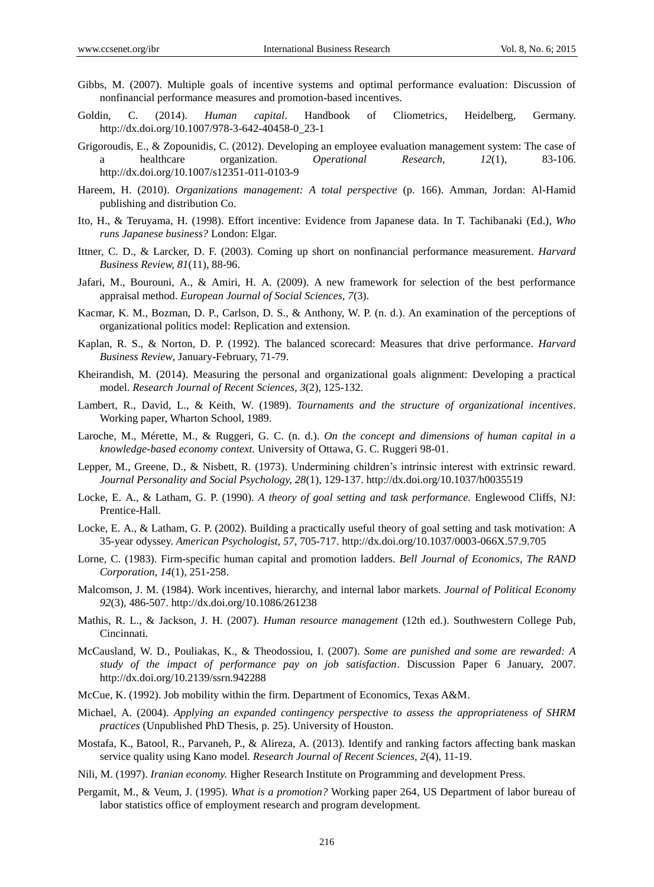- Gibbs, M. (2007). Multiple goals of incentive systems and optimal performance evaluation: Discussion of nonfinancial performance measures and promotion-based incentives.
- Goldin, C. (2014). *Human capital*. Handbook of Cliometrics, Heidelberg, Germany. http://dx.doi.org/10.1007/978-3-642-40458-0\_23-1
- Grigoroudis, E., & Zopounidis, C. (2012). Developing an employee evaluation management system: The case of a healthcare organization. *Operational Research, 12*(1), 83-106. http://dx.doi.org/10.1007/s12351-011-0103-9
- Hareem, H. (2010). *Organizations management: A total perspective* (p. 166). Amman, Jordan: Al-Hamid publishing and distribution Co.
- Ito, H., & Teruyama, H. (1998). Effort incentive: Evidence from Japanese data. In T. Tachibanaki (Ed.), *Who runs Japanese business?* London: Elgar.
- Ittner, C. D., & Larcker, D. F. (2003). Coming up short on nonfinancial performance measurement. *Harvard Business Review, 81*(11), 88-96.
- Jafari, M., Bourouni, A., & Amiri, H. A. (2009). A new framework for selection of the best performance appraisal method. *European Journal of Social Sciences, 7*(3).
- Kacmar, K. M., Bozman, D. P., Carlson, D. S., & Anthony, W. P. (n. d.). An examination of the perceptions of organizational politics model: Replication and extension.
- Kaplan, R. S., & Norton, D. P. (1992). The balanced scorecard: Measures that drive performance. *Harvard Business Review*, January-February, 71-79.
- Kheirandish, M. (2014). Measuring the personal and organizational goals alignment: Developing a practical model. *Research Journal of Recent Sciences, 3*(2), 125-132.
- Lambert, R., David, L., & Keith, W. (1989). *Tournaments and the structure of organizational incentives*. Working paper, Wharton School, 1989.
- Laroche, M., Mérette, M., & Ruggeri, G. C. (n. d.). *On the concept and dimensions of human capital in a knowledge-based economy context.* University of Ottawa, G. C. Ruggeri 98-01.
- Lepper, M., Greene, D., & Nisbett, R. (1973). Undermining children"s intrinsic interest with extrinsic reward. *Journal Personality and Social Psychology, 28*(1), 129-137. http://dx.doi.org/10.1037/h0035519
- Locke, E. A., & Latham, G. P. (1990). *A theory of goal setting and task performance.* Englewood Cliffs, NJ: Prentice-Hall.
- Locke, E. A., & Latham, G. P. (2002). Building a practically useful theory of goal setting and task motivation: A 35-year odyssey. *American Psychologist, 57*, 705-717. http://dx.doi.org/10.1037/0003-066X.57.9.705
- Lorne, C. (1983). Firm-specific human capital and promotion ladders. *Bell Journal of Economics, The RAND Corporation, 14*(1), 251-258.
- Malcomson, J. M. (1984). Work incentives, hierarchy, and internal labor markets. *Journal of Political Economy 92*(3), 486-507. http://dx.doi.org/10.1086/261238
- Mathis, R. L., & Jackson, J. H. (2007). *Human resource management* (12th ed.). Southwestern College Pub, Cincinnati.
- McCausland, W. D., Pouliakas, K., & Theodossiou, I. (2007). *Some are punished and some are rewarded: A study of the impact of performance pay on job satisfaction*. Discussion Paper 6 January, 2007. http://dx.doi.org/10.2139/ssrn.942288
- McCue, K. (1992). Job mobility within the firm. Department of Economics, Texas A&M.
- Michael, A. (2004). *Applying an expanded contingency perspective to assess the appropriateness of SHRM practices* (Unpublished PhD Thesis, p. 25). University of Houston.
- Mostafa, K., Batool, R., Parvaneh, P., & Alireza, A. (2013). Identify and ranking factors affecting bank maskan service quality using Kano model. *Research Journal of Recent Sciences, 2*(4), 11-19.
- Nili, M. (1997). *Iranian economy.* Higher Research Institute on Programming and development Press.
- Pergamit, M., & Veum, J. (1995). *What is a promotion?* Working paper 264, US Department of labor bureau of labor statistics office of employment research and program development.